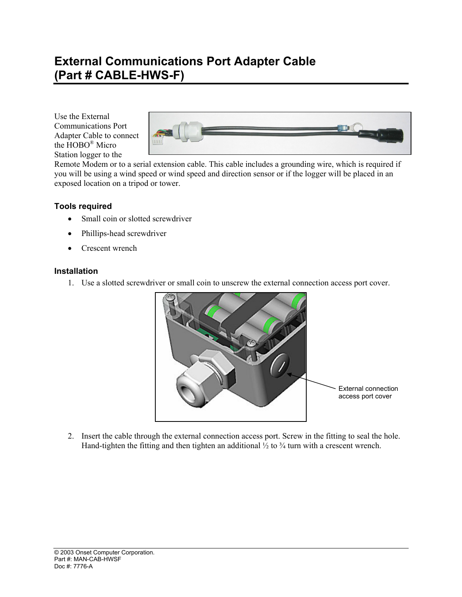## **External Communications Port Adapter Cable (Part # CABLE-HWS-F)**

Use the External Communications Port Adapter Cable to connect the HOBO® Micro Station logger to the



Remote Modem or to a serial extension cable. This cable includes a grounding wire, which is required if you will be using a wind speed or wind speed and direction sensor or if the logger will be placed in an exposed location on a tripod or tower.

## **Tools required**

- Small coin or slotted screwdriver
- Phillips-head screwdriver
- Crescent wrench

## **Installation**

1. Use a slotted screwdriver or small coin to unscrew the external connection access port cover.



2. Insert the cable through the external connection access port. Screw in the fitting to seal the hole. Hand-tighten the fitting and then tighten an additional  $\frac{1}{2}$  to  $\frac{3}{4}$  turn with a crescent wrench.